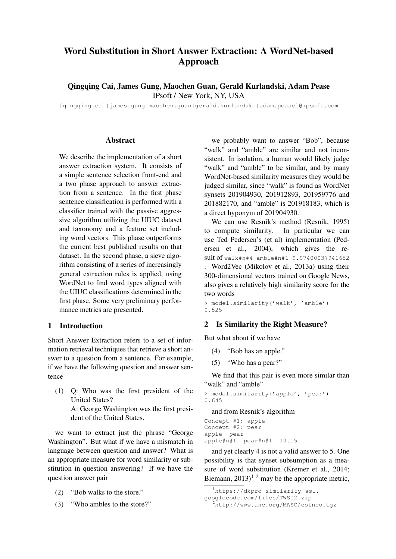# Word Substitution in Short Answer Extraction: A WordNet-based Approach

Qingqing Cai, James Gung, Maochen Guan, Gerald Kurlandski, Adam Pease IPsoft / New York, NY, USA

[qingqing.cai|james.gung|maochen.guan|gerald.kurlandski|adam.pease]@ipsoft.com

#### **Abstract**

We describe the implementation of a short answer extraction system. It consists of a simple sentence selection front-end and a two phase approach to answer extraction from a sentence. In the first phase sentence classification is performed with a classifier trained with the passive aggressive algorithm utilizing the UIUC dataset and taxonomy and a feature set including word vectors. This phase outperforms the current best published results on that dataset. In the second phase, a sieve algorithm consisting of a series of increasingly general extraction rules is applied, using WordNet to find word types aligned with the UIUC classifications determined in the first phase. Some very preliminary performance metrics are presented.

#### 1 Introduction

Short Answer Extraction refers to a set of information retrieval techniques that retrieve a short answer to a question from a sentence. For example, if we have the following question and answer sentence

(1) Q: Who was the first president of the United States? A: George Washington was the first presi-

dent of the United States.

we want to extract just the phrase "George Washington". But what if we have a mismatch in language between question and answer? What is an appropriate measure for word similarity or substitution in question answering? If we have the question answer pair

- (2) "Bob walks to the store."
- (3) "Who ambles to the store?"

we probably want to answer "Bob", because "walk" and "amble" are similar and not inconsistent. In isolation, a human would likely judge "walk" and "amble" to be similar, and by many WordNet-based similarity measures they would be judged similar, since "walk" is found as WordNet synsets 201904930, 201912893, 201959776 and 201882170, and "amble" is 201918183, which is a direct hyponym of 201904930.

We can use Resnik's method (Resnik, 1995) to compute similarity. In particular we can use Ted Pedersen's (et al) implementation (Pedersen et al., 2004), which gives the result of walk#n#4 amble#n#1 9.97400037941652

. Word2Vec (Mikolov et al., 2013a) using their 300-dimensional vectors trained on Google News, also gives a relatively high similarity score for the two words

> model.similarity('walk', 'amble') 0.525

## 2 Is Similarity the Right Measure?

But what about if we have

- (4) "Bob has an apple."
- (5) "Who has a pear?"

We find that this pair is even more similar than "walk" and "amble"

```
> model.similarity('apple', 'pear')
0.645
```
and from Resnik's algorithm

```
Concept #1: apple
Concept #2: pear
apple pear
apple#n#1 pear#n#1 10.15
```
and yet clearly 4 is not a valid answer to 5. One possibility is that synset subsumption as a measure of word substitution (Kremer et al., 2014; Biemann,  $2013$ <sup>1</sup>  $^2$  may be the appropriate metric,

<sup>&</sup>lt;sup>1</sup>https://dkpro-similarity-asl.

googlecode.com/files/TWSI2.zip

<sup>2</sup>http://www.anc.org/MASC/coinco.tgz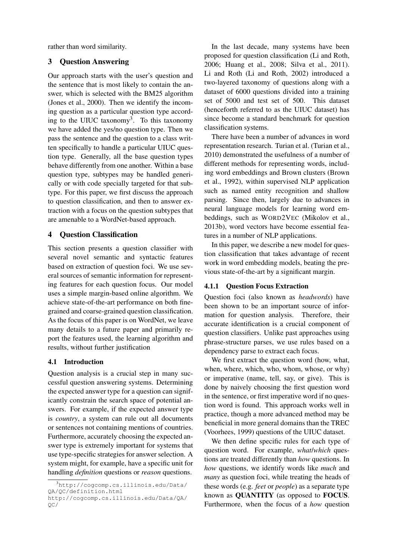rather than word similarity.

# 3 Question Answering

Our approach starts with the user's question and the sentence that is most likely to contain the answer, which is selected with the BM25 algorithm (Jones et al., 2000). Then we identify the incoming question as a particular question type according to the UIUC taxonomy<sup>3</sup>. To this taxonomy we have added the yes/no question type. Then we pass the sentence and the question to a class written specifically to handle a particular UIUC question type. Generally, all the base question types behave differently from one another. Within a base question type, subtypes may be handled generically or with code specially targeted for that subtype. For this paper, we first discuss the approach to question classification, and then to answer extraction with a focus on the question subtypes that are amenable to a WordNet-based approach.

#### 4 Question Classification

This section presents a question classifier with several novel semantic and syntactic features based on extraction of question foci. We use several sources of semantic information for representing features for each question focus. Our model uses a simple margin-based online algorithm. We achieve state-of-the-art performance on both finegrained and coarse-grained question classification. As the focus of this paper is on WordNet, we leave many details to a future paper and primarily report the features used, the learning algorithm and results, without further justification

#### 4.1 Introduction

Question analysis is a crucial step in many successful question answering systems. Determining the expected answer type for a question can significantly constrain the search space of potential answers. For example, if the expected answer type is *country*, a system can rule out all documents or sentences not containing mentions of countries. Furthermore, accurately choosing the expected answer type is extremely important for systems that use type-specific strategies for answer selection. A system might, for example, have a specific unit for handling *definition* questions or *reason* questions.

In the last decade, many systems have been proposed for question classification (Li and Roth, 2006; Huang et al., 2008; Silva et al., 2011). Li and Roth (Li and Roth, 2002) introduced a two-layered taxonomy of questions along with a dataset of 6000 questions divided into a training set of 5000 and test set of 500. This dataset (henceforth referred to as the UIUC dataset) has since become a standard benchmark for question classification systems.

There have been a number of advances in word representation research. Turian et al. (Turian et al., 2010) demonstrated the usefulness of a number of different methods for representing words, including word embeddings and Brown clusters (Brown et al., 1992), within supervised NLP application such as named entity recognition and shallow parsing. Since then, largely due to advances in neural language models for learning word embeddings, such as WORD2VEC (Mikolov et al., 2013b), word vectors have become essential features in a number of NLP applications.

In this paper, we describe a new model for question classification that takes advantage of recent work in word embedding models, beating the previous state-of-the-art by a significant margin.

## 4.1.1 Question Focus Extraction

Question foci (also known as *headwords*) have been shown to be an important source of information for question analysis. Therefore, their accurate identification is a crucial component of question classifiers. Unlike past approaches using phrase-structure parses, we use rules based on a dependency parse to extract each focus.

We first extract the question word (how, what, when, where, which, who, whom, whose, or why) or imperative (name, tell, say, or give). This is done by naively choosing the first question word in the sentence, or first imperative word if no question word is found. This approach works well in practice, though a more advanced method may be beneficial in more general domains than the TREC (Voorhees, 1999) questions of the UIUC dataset.

We then define specific rules for each type of question word. For example, *what*/*which* questions are treated differently than *how* questions. In *how* questions, we identify words like *much* and *many* as question foci, while treating the heads of these words (e.g. *feet* or *people*) as a separate type known as QUANTITY (as opposed to FOCUS. Furthermore, when the focus of a *how* question

<sup>3</sup>http://cogcomp.cs.illinois.edu/Data/ QA/QC/definition.html

http://cogcomp.cs.illinois.edu/Data/QA/ QC/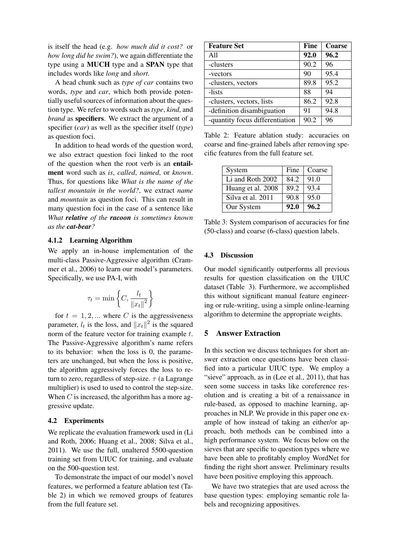is itself the head (e.g. *how much did it cost?* or *how long did he swim?*), we again differentiate the type using a MUCH type and a SPAN type that includes words like *long* and *short*.

A head chunk such as *type of car* contains two words, *type* and *car*, which both provide potentially useful sources of information about the question type. We refer to words such as *type*, *kind*, and *brand* as specifiers. We extract the argument of a specifier (*car*) as well as the specifier itself (*type*) as question foci.

In addition to head words of the question word, we also extract question foci linked to the root of the question when the root verb is an entailment word such as *is*, *called*, *named*, or *known*. Thus, for questions like *What is the name of the tallest mountain in the world?*, we extract *name* and *mountain* as question foci. This can result in many question foci in the case of a sentence like *What relative of the racoon is sometimes known as the cat-bear?*

## 4.1.2 Learning Algorithm

We apply an in-house implementation of the multi-class Passive-Aggressive algorithm (Crammer et al., 2006) to learn our model's parameters. Specifically, we use PA-I, with

$$
\tau_t = \min\left\{C, \frac{l_t}{\|x_t\|^2}\right\}
$$

for  $t = 1, 2, ...$  where C is the aggressiveness parameter,  $l_t$  is the loss, and  $||x_t||^2$  is the squared norm of the feature vector for training example t. The Passive-Aggressive algorithm's name refers to its behavior: when the loss is 0, the parameters are unchanged, but when the loss is positive, the algorithm aggressively forces the loss to return to zero, regardless of step-size.  $\tau$  (a Lagrange multiplier) is used to used to control the step-size. When  $C$  is increased, the algorithm has a more aggressive update.

#### 4.2 Experiments

We replicate the evaluation framework used in (Li and Roth, 2006; Huang et al., 2008; Silva et al., 2011). We use the full, unaltered 5500-question training set from UIUC for training, and evaluate on the 500-question test.

To demonstrate the impact of our model's novel features, we performed a feature ablation test (Table 2) in which we removed groups of features from the full feature set.

| <b>Feature Set</b>              | <b>Fine</b> | Coarse |
|---------------------------------|-------------|--------|
| A11                             | 92.0        | 96.2   |
| -clusters                       | 90.2        | 96     |
| -vectors                        | 90          | 95.4   |
| -clusters, vectors              | 89.8        | 95.2   |
| -lists                          | 88          | 94     |
| -clusters, vectors, lists       | 86.2        | 92.8   |
| -definition disambiguation      | 91          | 94.8   |
| -quantity focus differentiation | 90.2        | 96     |

Table 2: Feature ablation study: accuracies on coarse and fine-grained labels after removing specific features from the full feature set.

| System            | Fine | Coarse |
|-------------------|------|--------|
| Li and Roth 2002  | 84.2 | 91.0   |
| Huang et al. 2008 | 89.2 | 93.4   |
| Silva et al. 2011 | 90.8 | 95.0   |
| Our System        | 92.0 | 96.2   |

Table 3: System comparison of accuracies for fine (50-class) and coarse (6-class) question labels.

#### 4.3 Discussion

Our model significantly outperforms all previous results for question classification on the UIUC dataset (Table 3). Furthermore, we accomplished this without significant manual feature engineering or rule-writing, using a simple online-learning algorithm to determine the appropriate weights.

## 5 Answer Extraction

In this section we discuss techniques for short answer extraction once questions have been classified into a particular UIUC type. We employ a "sieve" approach, as in (Lee et al., 2011), that has seen some success in tasks like coreference resolution and is creating a bit of a renaissance in rule-based, as opposed to machine learning, approaches in NLP. We provide in this paper one example of how instead of taking an either/or approach, both methods can be combined into a high performance system. We focus below on the sieves that are specific to question types where we have been able to profitably employ WordNet for finding the right short answer. Preliminary results have been positive employing this approach.

We have two strategies that are used across the base question types: employing semantic role labels and recognizing appositives.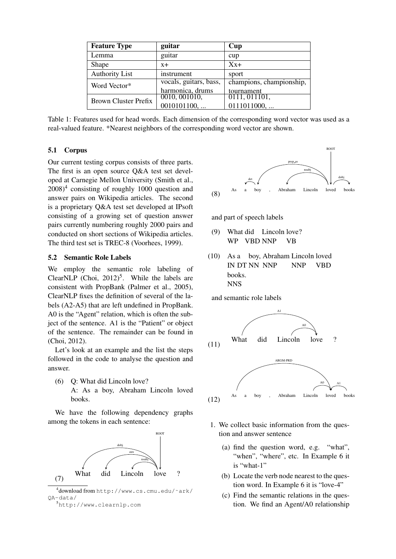| <b>Feature Type</b>   | guitar                                     | Cup                                    |
|-----------------------|--------------------------------------------|----------------------------------------|
| Lemma                 | guitar                                     | cup                                    |
| Shape                 | $x +$                                      | $Xx+$                                  |
| <b>Authority List</b> | instrument                                 | sport                                  |
| Word Vector*          | vocals, guitars, bass,<br>harmonica, drums | champions, championship,<br>tournament |
| Brown Cluster Prefix  | 0010, 001010,<br>0010101100,               | 0111, 011101,<br>0111011000,           |

Table 1: Features used for head words. Each dimension of the corresponding word vector was used as a real-valued feature. \*Nearest neighbors of the corresponding word vector are shown.

## 5.1 Corpus

Our current testing corpus consists of three parts. The first is an open source Q&A test set developed at Carnegie Mellon University (Smith et al.,  $2008$ <sup>4</sup> consisting of roughly 1000 question and answer pairs on Wikipedia articles. The second is a proprietary Q&A test set developed at IPsoft consisting of a growing set of question answer pairs currently numbering roughly 2000 pairs and conducted on short sections of Wikipedia articles. The third test set is TREC-8 (Voorhees, 1999).

#### 5.2 Semantic Role Labels

We employ the semantic role labeling of ClearNLP (Choi,  $2012$ )<sup>5</sup>. While the labels are consistent with PropBank (Palmer et al., 2005), ClearNLP fixes the definition of several of the labels (A2-A5) that are left undefined in PropBank. A0 is the "Agent" relation, which is often the subject of the sentence. A1 is the "Patient" or object of the sentence. The remainder can be found in (Choi, 2012).

Let's look at an example and the list the steps followed in the code to analyse the question and answer.

(6) Q: What did Lincoln love? A: As a boy, Abraham Lincoln loved books.

We have the following dependency graphs among the tokens in each sentence:



4 download from http://www.cs.cmu.edu/˜ark/ QA-data/





and part of speech labels

- (9) What did Lincoln love? WP VBD NNP VB
- (10) As a boy, Abraham Lincoln loved IN DT NN NNP NNP VBD books. NNS

and semantic role labels



- 1. We collect basic information from the question and answer sentence
	- (a) find the question word, e.g. "what", "when", "where", etc. In Example 6 it is "what-1"
	- (b) Locate the verb node nearest to the question word. In Example 6 it is "love-4"
	- (c) Find the semantic relations in the question. We find an Agent/A0 relationship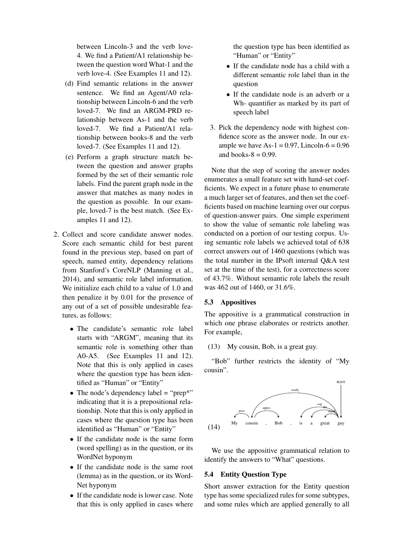between Lincoln-3 and the verb love-4. We find a Patient/A1 relationship between the question word What-1 and the verb love-4. (See Examples 11 and 12).

- (d) Find semantic relations in the answer sentence. We find an Agent/A0 relationship between Lincoln-6 and the verb loved-7. We find an ARGM-PRD relationship between As-1 and the verb loved-7. We find a Patient/A1 relationship between books-8 and the verb loved-7. (See Examples 11 and 12).
- (e) Perform a graph structure match between the question and answer graphs formed by the set of their semantic role labels. Find the parent graph node in the answer that matches as many nodes in the question as possible. In our example, loved-7 is the best match. (See Examples 11 and 12).
- 2. Collect and score candidate answer nodes. Score each semantic child for best parent found in the previous step, based on part of speech, named entity, dependency relations from Stanford's CoreNLP (Manning et al., 2014), and semantic role label information. We initialize each child to a value of 1.0 and then penalize it by 0.01 for the presence of any out of a set of possible undesirable features, as follows:
	- The candidate's semantic role label starts with "ARGM", meaning that its semantic role is something other than A0-A5. (See Examples 11 and 12). Note that this is only applied in cases where the question type has been identified as "Human" or "Entity"
	- The node's dependency label = "prep\*" indicating that it is a prepositional relationship. Note that this is only applied in cases where the question type has been identified as "Human" or "Entity"
	- If the candidate node is the same form (word spelling) as in the question, or its WordNet hyponym
	- If the candidate node is the same root (lemma) as in the question, or its Word-Net hyponym
	- If the candidate node is lower case. Note that this is only applied in cases where

the question type has been identified as "Human" or "Entity"

- If the candidate node has a child with a different semantic role label than in the question
- If the candidate node is an adverb or a Wh- quantifier as marked by its part of speech label
- 3. Pick the dependency node with highest confidence score as the answer node. In our example we have  $As-1 = 0.97$ . Lincoln- $6 = 0.96$ and books- $8 = 0.99$ .

Note that the step of scoring the answer nodes enumerates a small feature set with hand-set coefficients. We expect in a future phase to enumerate a much larger set of features, and then set the coefficients based on machine learning over our corpus of question-answer pairs. One simple experiment to show the value of semantic role labeling was conducted on a portion of our testing corpus. Using semantic role labels we achieved total of 638 correct answers out of 1460 questions (which was the total number in the IPsoft internal Q&A test set at the time of the test), for a correctness score of 43.7%. Without semantic role labels the result was 462 out of 1460, or 31.6%.

# 5.3 Appositives

The appositive is a grammatical construction in which one phrase elaborates or restricts another. For example,

(13) My cousin, Bob, is a great guy.

"Bob" further restricts the identity of "My cousin".



We use the appositive grammatical relation to identify the answers to "What" questions.

## 5.4 Entity Question Type

Short answer extraction for the Entity question type has some specialized rules for some subtypes, and some rules which are applied generally to all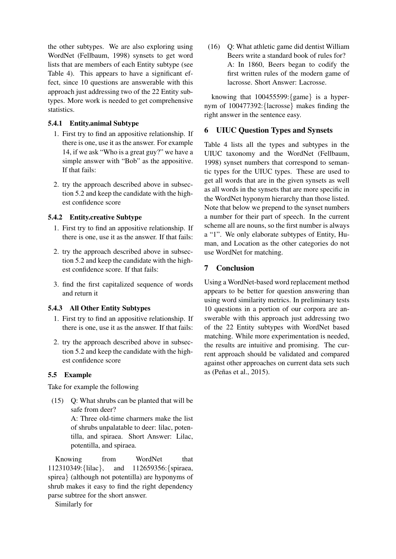the other subtypes. We are also exploring using WordNet (Fellbaum, 1998) synsets to get word lists that are members of each Entity subtype (see Table 4). This appears to have a significant effect, since 10 questions are answerable with this approach just addressing two of the 22 Entity subtypes. More work is needed to get comprehensive statistics.

# 5.4.1 Entity.animal Subtype

- 1. First try to find an appositive relationship. If there is one, use it as the answer. For example 14, if we ask "Who is a great guy?" we have a simple answer with "Bob" as the appositive. If that fails:
- 2. try the approach described above in subsection 5.2 and keep the candidate with the highest confidence score

# 5.4.2 Entity.creative Subtype

- 1. First try to find an appositive relationship. If there is one, use it as the answer. If that fails:
- 2. try the approach described above in subsection 5.2 and keep the candidate with the highest confidence score. If that fails:
- 3. find the first capitalized sequence of words and return it

# 5.4.3 All Other Entity Subtypes

- 1. First try to find an appositive relationship. If there is one, use it as the answer. If that fails:
- 2. try the approach described above in subsection 5.2 and keep the candidate with the highest confidence score

# 5.5 Example

Take for example the following

(15) Q: What shrubs can be planted that will be safe from deer?

A: Three old-time charmers make the list of shrubs unpalatable to deer: lilac, potentilla, and spiraea. Short Answer: Lilac, potentilla, and spiraea.

Knowing from WordNet that 112310349:{lilac}, and 112659356:{spiraea, spirea} (although not potentilla) are hyponyms of shrub makes it easy to find the right dependency parse subtree for the short answer.

Similarly for

(16) Q: What athletic game did dentist William Beers write a standard book of rules for? A: In 1860, Beers began to codify the first written rules of the modern game of lacrosse. Short Answer: Lacrosse.

knowing that 100455599:{game} is a hypernym of 100477392:{lacrosse} makes finding the right answer in the sentence easy.

# 6 UIUC Question Types and Synsets

Table 4 lists all the types and subtypes in the UIUC taxonomy and the WordNet (Fellbaum, 1998) synset numbers that correspond to semantic types for the UIUC types. These are used to get all words that are in the given synsets as well as all words in the synsets that are more specific in the WordNet hyponym hierarchy than those listed. Note that below we prepend to the synset numbers a number for their part of speech. In the current scheme all are nouns, so the first number is always a "1". We only elaborate subtypes of Entity, Human, and Location as the other categories do not use WordNet for matching.

# 7 Conclusion

Using a WordNet-based word replacement method appears to be better for question answering than using word similarity metrics. In preliminary tests 10 questions in a portion of our corpora are answerable with this approach just addressing two of the 22 Entity subtypes with WordNet based matching. While more experimentation is needed, the results are intuitive and promising. The current approach should be validated and compared against other approaches on current data sets such as (Peñas et al., 2015).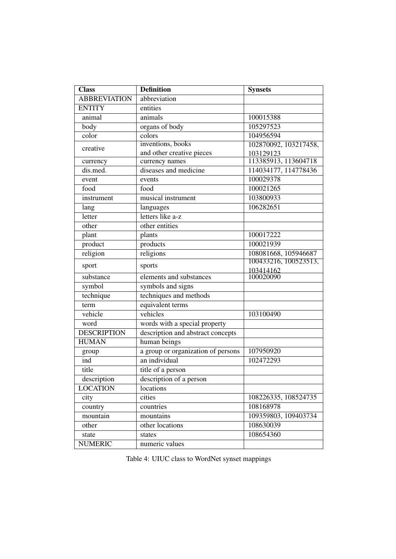| <b>Class</b>        | <b>Definition</b>                  | <b>Synsets</b>        |
|---------------------|------------------------------------|-----------------------|
| <b>ABBREVIATION</b> | abbreviation                       |                       |
| <b>ENTITY</b>       | entities                           |                       |
| animal              | animals                            | 100015388             |
| body                | organs of body                     | 105297523             |
| color               | colors                             | 104956594             |
| creative            | inventions, books                  | 102870092, 103217458, |
|                     | and other creative pieces          | 103129123             |
| currency            | currency names                     | 113385913, 113604718  |
| dis.med.            | diseases and medicine              | 114034177, 114778436  |
| event               | events                             | 100029378             |
| food                | food                               | 100021265             |
| instrument          | musical instrument                 | 103800933             |
| lang                | languages                          | 106282651             |
| letter              | letters like a-z                   |                       |
| other               | other entities                     |                       |
| plant               | plants                             | 100017222             |
| product             | products                           | 100021939             |
| religion            | religions                          | 108081668, 105946687  |
| sport               | sports                             | 100433216, 100523513, |
|                     | elements and substances            | 103414162             |
| substance           |                                    | 100020090             |
| symbol              | symbols and signs                  |                       |
| technique           | techniques and methods             |                       |
| term                | equivalent terms                   |                       |
| vehicle             | vehicles                           | 103100490             |
| word                | words with a special property      |                       |
| <b>DESCRIPTION</b>  | description and abstract concepts  |                       |
| <b>HUMAN</b>        | human beings                       |                       |
| group               | a group or organization of persons | 107950920             |
| ind                 | an individual                      | 102472293             |
| title               | title of a person                  |                       |
| description         | description of a person            |                       |
| <b>LOCATION</b>     | locations                          |                       |
| city                | cities                             | 108226335, 108524735  |
| country             | countries                          | 108168978             |
| mountain            | mountains                          | 109359803, 109403734  |
| other               | other locations                    | 108630039             |
| state               | states                             | 108654360             |
| <b>NUMERIC</b>      | numeric values                     |                       |

Table 4: UIUC class to WordNet synset mappings